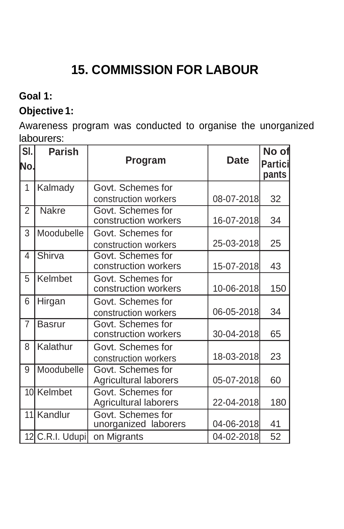# **15. COMMISSION FOR LABOUR**

## **Goal 1:**

## **Objective 1:**

Awareness program was conducted to organise the unorganized labourers:

| SI.<br>No.     | <b>Parish</b>   | <b>Program</b>                             | <b>Date</b> | No of<br><b>Partici</b><br>pants |
|----------------|-----------------|--------------------------------------------|-------------|----------------------------------|
| 1              | Kalmady         | Govt. Schemes for<br>construction workers  | 08-07-2018  | 32                               |
| $\overline{2}$ | <b>Nakre</b>    | Govt. Schemes for<br>construction workers  | 16-07-2018  | 34                               |
| 3              | Moodubelle      | Govt. Schemes for<br>construction workers  | 25-03-2018  | 25                               |
| 4              | Shirva          | Govt. Schemes for<br>construction workers  | 15-07-2018  | 43                               |
| 5              | Kelmbet         | Govt. Schemes for<br>construction workers  | 10-06-2018  | 150                              |
| 6              | Hirgan          | Govt. Schemes for<br>construction workers  | 06-05-2018  | 34                               |
| $\overline{7}$ | <b>Basrur</b>   | Govt. Schemes for<br>construction workers  | 30-04-2018  | 65                               |
| 8              | Kalathur        | Govt. Schemes for<br>construction workers  | 18-03-2018  | 23                               |
| 9              | Moodubelle      | Govt. Schemes for<br>Agricultural laborers | 05-07-2018  | 60                               |
| 10l            | Kelmbet         | Govt. Schemes for<br>Agricultural laborers | 22-04-2018  | 180                              |
| 11             | Kandlur         | Govt. Schemes for<br>unorganized laborers  | 04-06-2018  | 41                               |
|                | 12 C.R.I. Udupi | on Migrants                                | 04-02-2018  | 52                               |